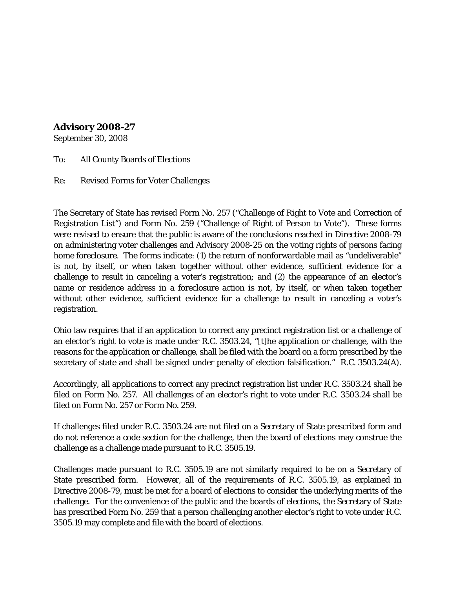## **Advisory 2008-27**

September 30, 2008

To: All County Boards of Elections

Re: Revised Forms for Voter Challenges

The Secretary of State has revised Form No. 257 ("Challenge of Right to Vote and Correction of Registration List") and Form No. 259 ("Challenge of Right of Person to Vote"). These forms were revised to ensure that the public is aware of the conclusions reached in Directive 2008-79 on administering voter challenges and Advisory 2008-25 on the voting rights of persons facing home foreclosure. The forms indicate: (1) the return of nonforwardable mail as "undeliverable" is not, by itself, or when taken together without other evidence, sufficient evidence for a challenge to result in canceling a voter's registration; and (2) the appearance of an elector's name or residence address in a foreclosure action is not, by itself, or when taken together without other evidence, sufficient evidence for a challenge to result in canceling a voter's registration.

Ohio law requires that if an application to correct any precinct registration list or a challenge of an elector's right to vote is made under R.C. 3503.24, "[t]he application or challenge, with the reasons for the application or challenge, shall be filed with the board on a form prescribed by the secretary of state and shall be signed under penalty of election falsification." R.C. 3503.24(A).

Accordingly, all applications to correct any precinct registration list under R.C. 3503.24 shall be filed on Form No. 257. All challenges of an elector's right to vote under R.C. 3503.24 shall be filed on Form No. 257 or Form No. 259.

If challenges filed under R.C. 3503.24 are not filed on a Secretary of State prescribed form and do not reference a code section for the challenge, then the board of elections may construe the challenge as a challenge made pursuant to R.C. 3505.19.

Challenges made pursuant to R.C. 3505.19 are not similarly required to be on a Secretary of State prescribed form. However, all of the requirements of R.C. 3505.19, as explained in Directive 2008-79, must be met for a board of elections to consider the underlying merits of the challenge. For the convenience of the public and the boards of elections, the Secretary of State has prescribed Form No. 259 that a person challenging another elector's right to vote under R.C. 3505.19 may complete and file with the board of elections.